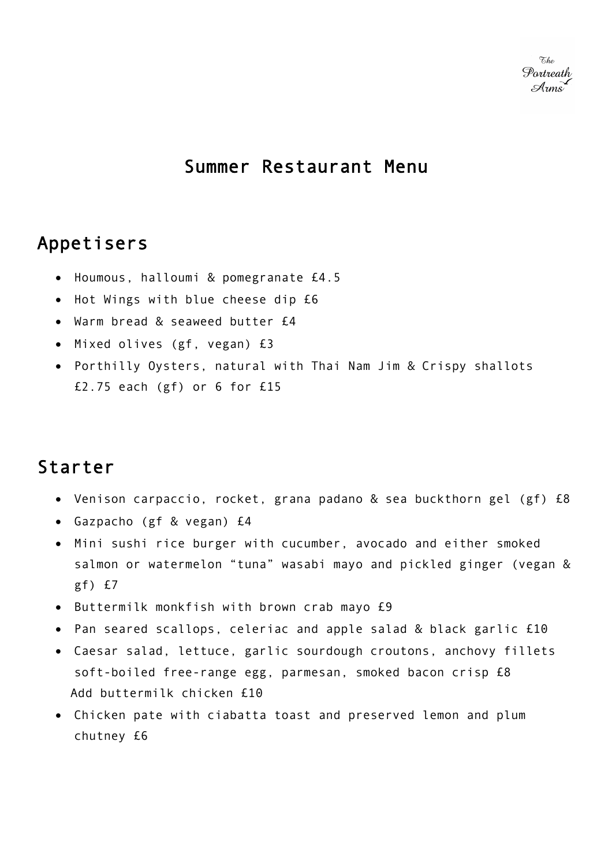## Summer Restaurant Menu

# Appetisers

- Houmous, halloumi & pomegranate £4.5
- Hot Wings with blue cheese dip £6
- Warm bread & seaweed butter £4
- Mixed olives (gf, vegan) £3
- Porthilly Oysters, natural with Thai Nam Jim & Crispy shallots £2.75 each (gf) or 6 for £15

# Starter

- Venison carpaccio, rocket, grana padano & sea buckthorn gel (gf) £8
- Gazpacho (gf & vegan) £4
- Mini sushi rice burger with cucumber, avocado and either smoked salmon or watermelon "tuna" wasabi mayo and pickled ginger (vegan & gf) £7
- Buttermilk monkfish with brown crab mayo £9
- Pan seared scallops, celeriac and apple salad & black garlic £10
- Caesar salad, lettuce, garlic sourdough croutons, anchovy fillets soft-boiled free-range egg, parmesan, smoked bacon crisp £8 Add buttermilk chicken £10
- Chicken pate with ciabatta toast and preserved lemon and plum chutney £6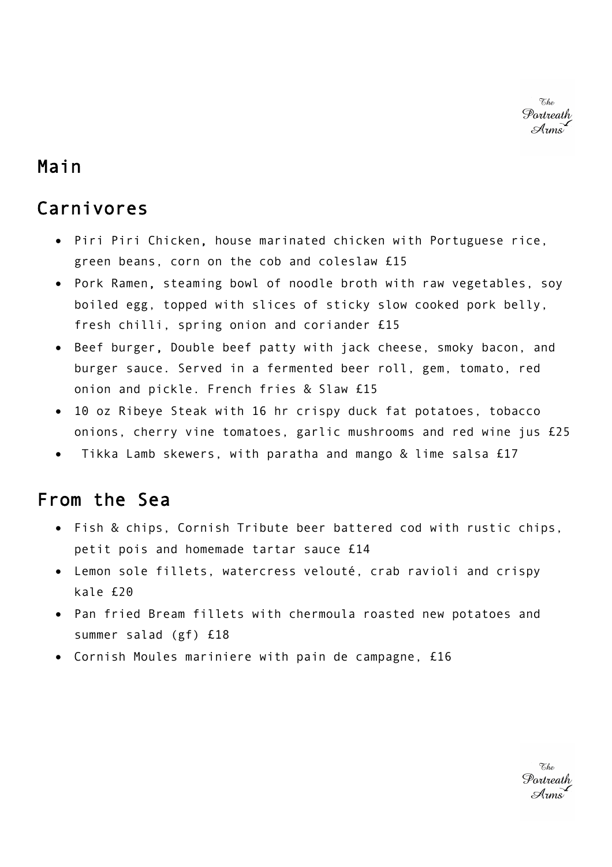*Fshe* Portreath Arms

#### Main

### Carnivores

- Piri Piri Chicken, house marinated chicken with Portuguese rice, green beans, corn on the cob and coleslaw £15
- Pork Ramen, steaming bowl of noodle broth with raw vegetables, soy boiled egg, topped with slices of sticky slow cooked pork belly, fresh chilli, spring onion and coriander £15
- Beef burger, Double beef patty with jack cheese, smoky bacon, and burger sauce. Served in a fermented beer roll, gem, tomato, red onion and pickle. French fries & Slaw £15
- 10 oz Ribeye Steak with 16 hr crispy duck fat potatoes, tobacco onions, cherry vine tomatoes, garlic mushrooms and red wine jus £25
- Tikka Lamb skewers, with paratha and mango  $&$  lime salsa  $£17$

# From the Sea

- Fish & chips, Cornish Tribute beer battered cod with rustic chips, petit pois and homemade tartar sauce £14
- Lemon sole fillets, watercress velouté, crab ravioli and crispy kale £20
- Pan fried Bream fillets with chermoula roasted new potatoes and summer salad (gf) £18
- Cornish Moules mariniere with pain de campagne, £16

Portreath